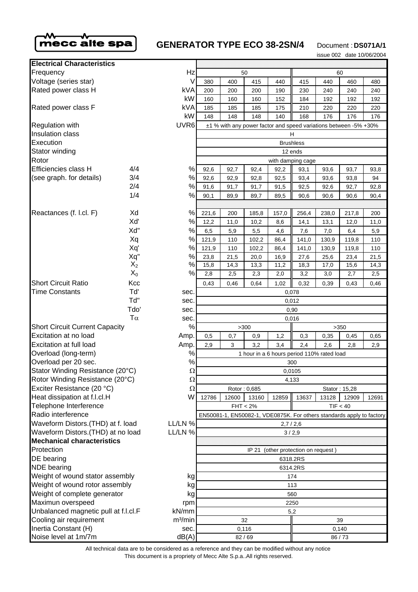

# **GENERATOR TYPE ECO 38-2SN/4** Document : **DS071A/1**

issue 002 date 10/06/2004

| <b>Electrical Characteristics</b>                                                                  |                                                                       |  |  |
|----------------------------------------------------------------------------------------------------|-----------------------------------------------------------------------|--|--|
| Hz<br>Frequency<br>50<br>60                                                                        |                                                                       |  |  |
| Voltage (series star)<br>V<br>380<br>400<br>415<br>440<br>415<br>440<br>460                        | 480                                                                   |  |  |
| Rated power class H<br>kVA<br>200<br>200<br>200<br>190<br>230<br>240<br>240                        | 240                                                                   |  |  |
| kW<br>160<br>160<br>160<br>152<br>184<br>192<br>192                                                | 192                                                                   |  |  |
| kVA<br>Rated power class F<br>185<br>185<br>185<br>175<br>210<br>220<br>220                        | 220                                                                   |  |  |
| kW<br>148<br>148<br>148<br>140<br>168<br>176<br>176                                                | 176                                                                   |  |  |
| UVR <sub>6</sub><br><b>Regulation with</b>                                                         | ±1 % with any power factor and speed variations between -5% +30%      |  |  |
| Insulation class<br>н                                                                              |                                                                       |  |  |
| Execution<br><b>Brushless</b>                                                                      |                                                                       |  |  |
| Stator winding<br>12 ends                                                                          |                                                                       |  |  |
| Rotor<br>with damping cage                                                                         |                                                                       |  |  |
| $\%$<br>Efficiencies class H<br>4/4<br>92,6<br>92,7<br>92,4<br>92,2<br>93,1<br>93,6<br>93,7        | 93,8                                                                  |  |  |
| 3/4<br>$\%$<br>(see graph. for details)<br>92,6<br>92,9<br>92,8<br>92,5<br>93,4<br>93,6<br>93,8    | 94                                                                    |  |  |
| 2/4<br>$\%$<br>91,6<br>91,7<br>91,7<br>92,5<br>92,6<br>92,7<br>91,5                                | 92,8                                                                  |  |  |
| 1/4<br>$\%$<br>90,1<br>89,9<br>89,7<br>89,5<br>90,6<br>90,6<br>90,6                                | 90,4                                                                  |  |  |
|                                                                                                    |                                                                       |  |  |
| $\%$<br>Reactances (f. l.cl. F)<br>Xd<br>221,6<br>200<br>185,8<br>157,0<br>256,4<br>238,0<br>217,8 | 200                                                                   |  |  |
| Xď<br>$\%$<br>12,2<br>11,0<br>10,2<br>8,6<br>14,1<br>13,1<br>12,0                                  | 11,0                                                                  |  |  |
| Xd"<br>$\%$<br>6,5<br>5,5<br>7,6<br>6,4<br>5,9<br>4,6<br>7,0                                       | 5,9                                                                   |  |  |
| $\%$<br>Xq<br>121,9<br>110<br>102,2<br>86,4<br>141,0<br>130,9<br>119,8                             | 110                                                                   |  |  |
| Xq'<br>%<br>121,9<br>110<br>102,2<br>86,4<br>141,0<br>130,9<br>119,8                               | 110                                                                   |  |  |
| Xq"<br>$\%$<br>23,8<br>21,5<br>27,6<br>20,0<br>16,9<br>25,6<br>23,4                                | 21,5                                                                  |  |  |
| $\%$<br>$X_2$<br>15,8<br>14,3<br>13,3<br>11,2<br>18,3<br>17,0<br>15,6                              | 14,3                                                                  |  |  |
| $X_0$<br>$\%$<br>2,8<br>2,5<br>2,3<br>2,0<br>3,2<br>3,0<br>2,7                                     | 2,5                                                                   |  |  |
| <b>Short Circuit Ratio</b><br>Kcc<br>0,43<br>0,46<br>0,64<br>1,02<br>0,32<br>0,39<br>0,43          | 0,46                                                                  |  |  |
| Td'<br><b>Time Constants</b><br>sec.                                                               | 0,078                                                                 |  |  |
| Td"<br>sec.<br>0,012                                                                               |                                                                       |  |  |
| Tdo'<br>sec.<br>0,90                                                                               |                                                                       |  |  |
| $T\alpha$<br>sec.<br>0,016                                                                         |                                                                       |  |  |
| $\%$<br><b>Short Circuit Current Capacity</b><br>>300<br>>350                                      |                                                                       |  |  |
| Excitation at no load<br>Amp.<br>0,5<br>0,9<br>0,3<br>0,35<br>0,7<br>1,2<br>0,45                   | 0,65                                                                  |  |  |
| Excitation at full load<br>Amp.<br>2,9<br>3,2<br>2,4<br>3<br>3,4<br>2,6<br>2,8                     | 2,9                                                                   |  |  |
| $\%$<br>Overload (long-term)                                                                       | 1 hour in a 6 hours period 110% rated load                            |  |  |
| $\%$<br>Overload per 20 sec.                                                                       | 300                                                                   |  |  |
| Stator Winding Resistance (20°C)<br>Ω                                                              | 0,0105                                                                |  |  |
| Rotor Winding Resistance (20°C)<br>$\Omega$<br>4,133                                               |                                                                       |  |  |
| Exciter Resistance (20 °C)<br>Ω<br>Rotor: 0,685<br>Stator: 15,28                                   |                                                                       |  |  |
| Heat dissipation at f.l.cl.H<br>W<br>12786<br>12600<br>13160<br>12859<br>13637<br>13128<br>12909   | 12691                                                                 |  |  |
| Telephone Interference<br>TIF < 40<br>$FHT < 2\%$                                                  |                                                                       |  |  |
| Radio interference                                                                                 | EN50081-1, EN50082-1, VDE0875K. For others standards apply to factory |  |  |
| Waveform Distors. (THD) at f. load<br>LL/LN %<br>2,7/2,6                                           |                                                                       |  |  |
| Waveform Distors. (THD) at no load<br>LL/LN %<br><b>Mechanical characteristics</b>                 | 3/2,9                                                                 |  |  |
| Protection                                                                                         | IP 21 (other protection on request)                                   |  |  |
| DE bearing                                                                                         | 6318.2RS                                                              |  |  |
| <b>NDE</b> bearing                                                                                 | 6314.2RS                                                              |  |  |
| Weight of wound stator assembly                                                                    | 174                                                                   |  |  |
| kg<br>Weight of wound rotor assembly                                                               | 113                                                                   |  |  |
| kg<br>Weight of complete generator<br>kg                                                           | 560                                                                   |  |  |
| Maximun overspeed<br>rpm                                                                           | 2250                                                                  |  |  |
| Unbalanced magnetic pull at f.l.cl.F<br>kN/mm                                                      | 5,2                                                                   |  |  |
| Cooling air requirement<br>m <sup>3</sup> /min                                                     | 32<br>39                                                              |  |  |
|                                                                                                    | 0,116<br>0,140                                                        |  |  |
| Inertia Constant (H)<br>sec.                                                                       | dB(A)<br>82/69<br>86/73                                               |  |  |

This document is a propriety of Mecc Alte S.p.a..All rights reserved. All technical data are to be considered as a reference and they can be modified without any notice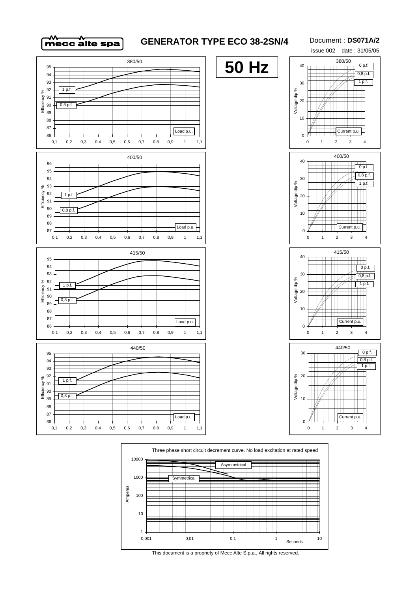

## **GENERATOR TYPE ECO 38-2SN/4**

#### Document : **DS071A/2**







This document is a propriety of Mecc Alte S.p.a.. All rights reserved.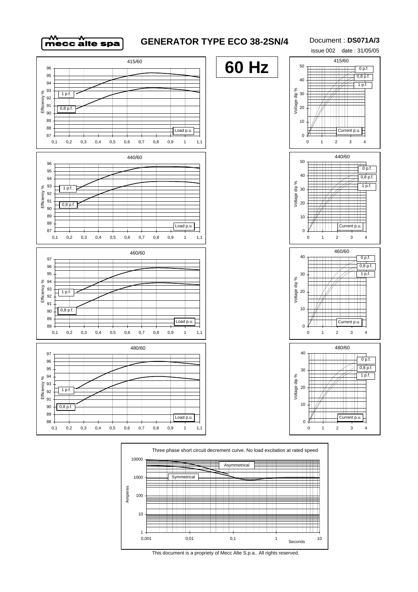

### **GENERATOR TYPE ECO 38-2SN/4**

Document : **DS071A/3**







This document is a propriety of Mecc Alte S.p.a.. All rights reserved.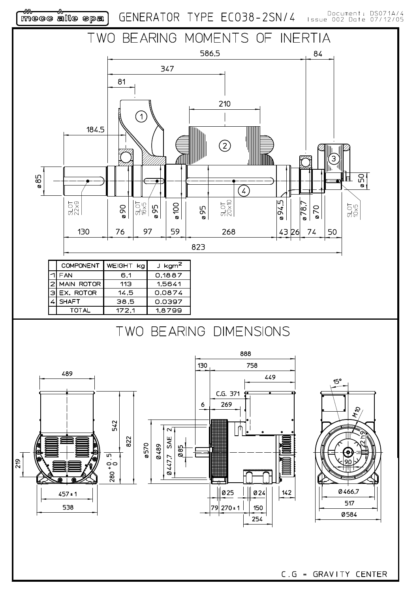werd were allie spa<br>Meer allie spa

GENERATOR TYPE EC038-2SN/4

Document: DS071A/4<br>Issue 002 Date 07/12/05